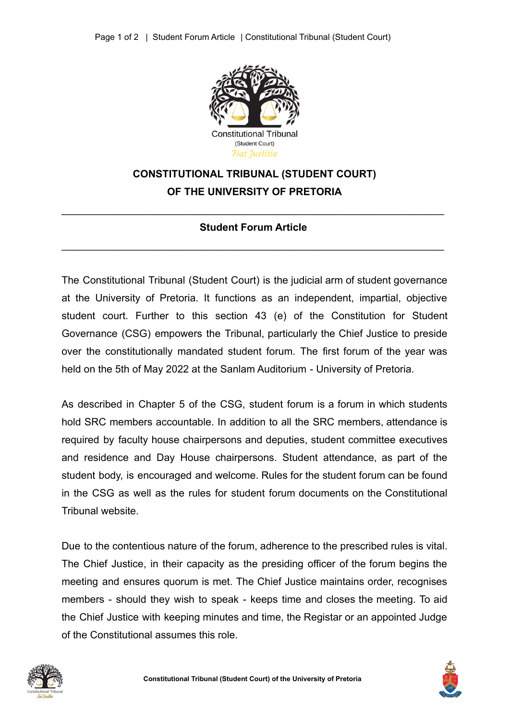

## **CONSTITUTIONAL TRIBUNAL (STUDENT COURT) OF THE UNIVERSITY OF PRETORIA**

## $\mathcal{L}_\mathcal{L} = \mathcal{L}_\mathcal{L} = \mathcal{L}_\mathcal{L} = \mathcal{L}_\mathcal{L} = \mathcal{L}_\mathcal{L} = \mathcal{L}_\mathcal{L} = \mathcal{L}_\mathcal{L} = \mathcal{L}_\mathcal{L} = \mathcal{L}_\mathcal{L} = \mathcal{L}_\mathcal{L} = \mathcal{L}_\mathcal{L} = \mathcal{L}_\mathcal{L} = \mathcal{L}_\mathcal{L} = \mathcal{L}_\mathcal{L} = \mathcal{L}_\mathcal{L} = \mathcal{L}_\mathcal{L} = \mathcal{L}_\mathcal{L}$ **Student Forum Article**

\_\_\_\_\_\_\_\_\_\_\_\_\_\_\_\_\_\_\_\_\_\_\_\_\_\_\_\_\_\_\_\_\_\_\_\_\_\_\_\_\_\_\_\_\_\_\_\_\_\_\_\_\_\_\_\_\_\_\_\_\_\_\_\_\_\_\_

The Constitutional Tribunal (Student Court) is the judicial arm of student governance at the University of Pretoria. It functions as an independent, impartial, objective student court. Further to this section 43 (e) of the Constitution for Student Governance (CSG) empowers the Tribunal, particularly the Chief Justice to preside over the constitutionally mandated student forum. The first forum of the year was held on the 5th of May 2022 at the Sanlam Auditorium - University of Pretoria.

As described in Chapter 5 of the CSG, student forum is a forum in which students hold SRC members accountable. In addition to all the SRC members, attendance is required by faculty house chairpersons and deputies, student committee executives and residence and Day House chairpersons. Student attendance, as part of the student body, is encouraged and welcome. Rules for the student forum can be found in the CSG as well as the rules for student forum documents on the Constitutional Tribunal website.

Due to the contentious nature of the forum, adherence to the prescribed rules is vital. The Chief Justice, in their capacity as the presiding officer of the forum begins the meeting and ensures quorum is met. The Chief Justice maintains order, recognises members - should they wish to speak - keeps time and closes the meeting. To aid the Chief Justice with keeping minutes and time, the Registar or an appointed Judge of the Constitutional assumes this role.